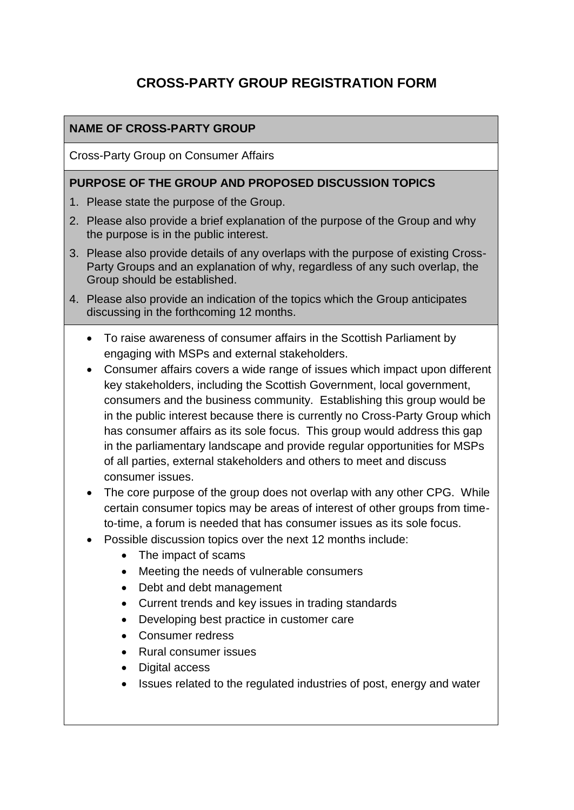# **CROSS-PARTY GROUP REGISTRATION FORM**

# **NAME OF CROSS-PARTY GROUP**

Cross-Party Group on Consumer Affairs

#### **PURPOSE OF THE GROUP AND PROPOSED DISCUSSION TOPICS**

- 1. Please state the purpose of the Group.
- 2. Please also provide a brief explanation of the purpose of the Group and why the purpose is in the public interest.
- 3. Please also provide details of any overlaps with the purpose of existing Cross-Party Groups and an explanation of why, regardless of any such overlap, the Group should be established.
- 4. Please also provide an indication of the topics which the Group anticipates discussing in the forthcoming 12 months.
	- To raise awareness of consumer affairs in the Scottish Parliament by engaging with MSPs and external stakeholders.
	- Consumer affairs covers a wide range of issues which impact upon different key stakeholders, including the Scottish Government, local government, consumers and the business community. Establishing this group would be in the public interest because there is currently no Cross-Party Group which has consumer affairs as its sole focus. This group would address this gap in the parliamentary landscape and provide regular opportunities for MSPs of all parties, external stakeholders and others to meet and discuss consumer issues.
	- The core purpose of the group does not overlap with any other CPG. While certain consumer topics may be areas of interest of other groups from timeto-time, a forum is needed that has consumer issues as its sole focus.
	- Possible discussion topics over the next 12 months include:
		- The impact of scams
		- Meeting the needs of vulnerable consumers
		- Debt and debt management
		- Current trends and key issues in trading standards
		- Developing best practice in customer care
		- Consumer redress
		- Rural consumer issues
		- Digital access
		- Issues related to the regulated industries of post, energy and water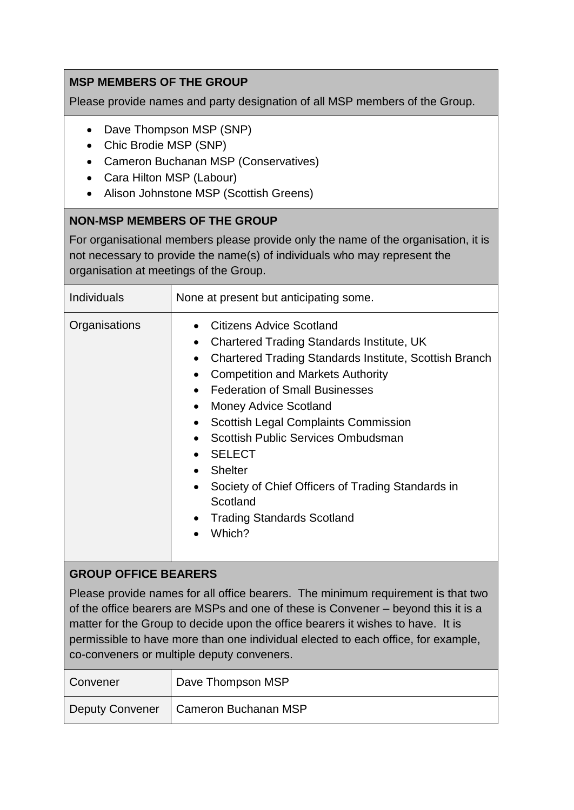# **MSP MEMBERS OF THE GROUP**

Please provide names and party designation of all MSP members of the Group.

- Dave Thompson MSP (SNP)
- Chic Brodie MSP (SNP)
- Cameron Buchanan MSP (Conservatives)
- Cara Hilton MSP (Labour)
- Alison Johnstone MSP (Scottish Greens)

#### **NON-MSP MEMBERS OF THE GROUP**

For organisational members please provide only the name of the organisation, it is not necessary to provide the name(s) of individuals who may represent the organisation at meetings of the Group.

| <b>Individuals</b>          | None at present but anticipating some.                                                                                                                                                                                                                                                                                                                                                                                                                                                                                                                                                                     |  |
|-----------------------------|------------------------------------------------------------------------------------------------------------------------------------------------------------------------------------------------------------------------------------------------------------------------------------------------------------------------------------------------------------------------------------------------------------------------------------------------------------------------------------------------------------------------------------------------------------------------------------------------------------|--|
| Organisations               | Citizens Advice Scotland<br>$\bullet$<br><b>Chartered Trading Standards Institute, UK</b><br>$\bullet$<br><b>Chartered Trading Standards Institute, Scottish Branch</b><br>$\bullet$<br><b>Competition and Markets Authority</b><br>$\bullet$<br><b>Federation of Small Businesses</b><br><b>Money Advice Scotland</b><br>$\bullet$<br><b>Scottish Legal Complaints Commission</b><br>٠<br>Scottish Public Services Ombudsman<br><b>SELECT</b><br>$\bullet$<br><b>Shelter</b><br>$\bullet$<br>Society of Chief Officers of Trading Standards in<br>Scotland<br><b>Trading Standards Scotland</b><br>Which? |  |
| <b>GROUP OFFICE BEARERS</b> |                                                                                                                                                                                                                                                                                                                                                                                                                                                                                                                                                                                                            |  |
|                             | Please provide names for all office bearers. The minimum requirement is that two<br>of the office bearers are MSPs and one of these is Convener – beyond this it is a<br>matter for the Group to decide upon the office bearers it wishes to have. It is<br>permissible to have more than one individual elected to each office, for example,                                                                                                                                                                                                                                                              |  |

co-conveners or multiple deputy conveners.

| Convener        | Dave Thompson MSP    |
|-----------------|----------------------|
| Deputy Convener | Cameron Buchanan MSP |